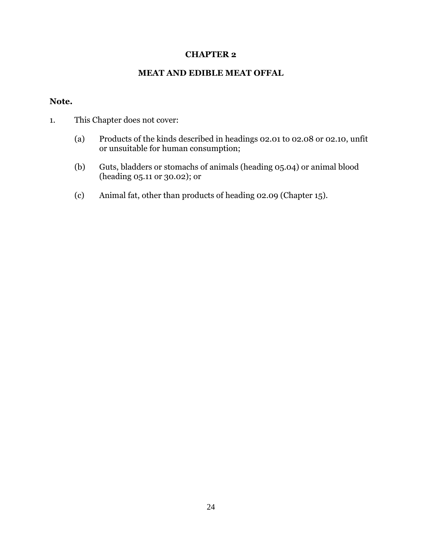## **CHAPTER 2**

## **MEAT AND EDIBLE MEAT OFFAL**

## **Note.**

- 1. This Chapter does not cover:
	- (a) Products of the kinds described in headings 02.01 to 02.08 or 02.10, unfit or unsuitable for human consumption;
	- (b) Guts, bladders or stomachs of animals (heading 05.04) or animal blood (heading 05.11 or 30.02); or
	- (c) Animal fat, other than products of heading 02.09 (Chapter 15).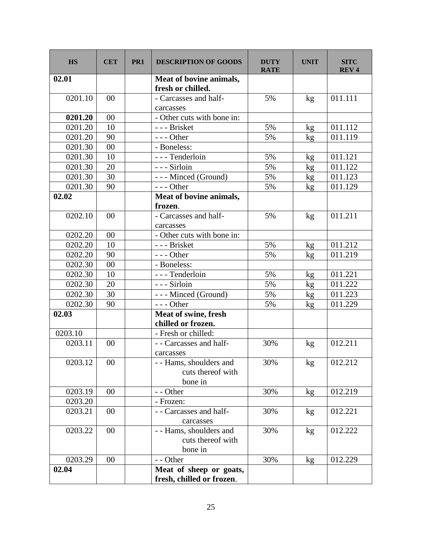| <b>HS</b>            | <b>CET</b> | PR <sub>1</sub> | <b>DESCRIPTION OF GOODS</b>                             | <b>DUTY</b><br><b>RATE</b> | <b>UNIT</b>     | <b>SITC</b><br><b>REV4</b> |
|----------------------|------------|-----------------|---------------------------------------------------------|----------------------------|-----------------|----------------------------|
| 02.01                |            |                 | Meat of bovine animals,<br>fresh or chilled.            |                            |                 |                            |
| 0201.10              | 00         |                 | - Carcasses and half-                                   | 5%                         | kg              | 011.111                    |
|                      |            |                 | carcasses                                               |                            |                 |                            |
| 0201.20              | 00         |                 | - Other cuts with bone in:                              |                            |                 |                            |
| 0201.20              | 10         |                 | - - - Brisket                                           | 5%                         | kg              | 011.112                    |
| 0201.20              | 90         |                 | $--$ Other                                              | 5%                         | kg              | 011.119                    |
| 0201.30              | 00         |                 | - Boneless:                                             |                            |                 |                            |
| 0201.30              | 10         |                 | --- Tenderloin                                          | 5%                         | kg              | 011.121                    |
| 0201.30              | 20         |                 | --- Sirloin                                             | 5%                         | kg              | 011.122                    |
| 0201.30              | 30         |                 | --- Minced (Ground)                                     | 5%                         | kg              | 011.123                    |
| 0201.30              | 90         |                 | $--$ Other                                              | 5%                         | kg              | 011.129                    |
| 02.02                |            |                 | Meat of bovine animals,<br>frozen.                      |                            |                 |                            |
| 0202.10              | 00         |                 | - Carcasses and half-<br>carcasses                      | 5%                         | kg              | 011.211                    |
| 0202.20              | 00         |                 | - Other cuts with bone in:                              |                            |                 |                            |
| 0202.20              | 10         |                 | - - - Brisket                                           | 5%                         | kg              | 011.212                    |
| 0202.20              | 90         |                 | $--$ Other                                              | 5%                         | kg              | 011.219                    |
| 0202.30              | 00         |                 | - Boneless:                                             |                            |                 |                            |
| 0202.30              | 10         |                 | - - - Tenderloin                                        | 5%                         | kg              | 011.221                    |
| 0202.30              | 20         |                 | --- Sirloin                                             | 5%                         | kg              | 011.222                    |
| 0202.30              | 30         |                 | --- Minced (Ground)                                     | 5%                         | kg              | 011.223                    |
| 0202.30              | 90         |                 | $--$ Other                                              | 5%                         | kg              | 011.229                    |
| 02.03                |            |                 | Meat of swine, fresh                                    |                            |                 |                            |
|                      |            |                 | chilled or frozen.                                      |                            |                 |                            |
| 0203.10              |            |                 | - Fresh or chilled:                                     |                            |                 |                            |
| 0203.11              | 00         |                 | - - Carcasses and half-<br>carcasses                    | 30%                        | kg              | 012.211                    |
| 0203.12              | 00         |                 | - - Hams, shoulders and<br>cuts thereof with<br>bone in | 30%                        | kg              | 012.212                    |
| 0203.19              | 00         |                 | - - Other                                               | 30%                        | kg              | 012.219                    |
| 0203.20              |            |                 | - Frozen:                                               |                            |                 |                            |
| 0203.21              | 00         |                 | - - Carcasses and half-<br>carcasses                    | 30%                        | kg              | 012.221                    |
| 0203.22              | 00         |                 | - - Hams, shoulders and<br>cuts thereof with<br>bone in | 30%                        | kg              | 012.222                    |
| $\overline{0}203.29$ | 00         |                 | - - Other                                               | 30%                        | kg <sub>2</sub> | 012.229                    |
| 02.04                |            |                 | Meat of sheep or goats,<br>fresh, chilled or frozen.    |                            |                 |                            |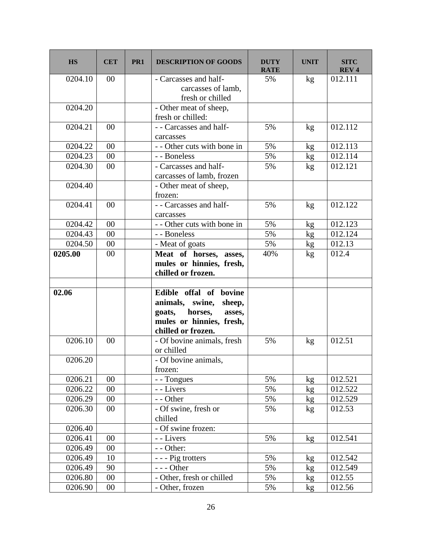| <b>HS</b>            | <b>CET</b> | PR1 | <b>DESCRIPTION OF GOODS</b>                                                                                                          | <b>DUTY</b><br><b>RATE</b> | <b>UNIT</b> | <b>SITC</b><br><b>REV4</b> |
|----------------------|------------|-----|--------------------------------------------------------------------------------------------------------------------------------------|----------------------------|-------------|----------------------------|
| 0204.10              | 00         |     | - Carcasses and half-<br>carcasses of lamb,<br>fresh or chilled                                                                      | 5%                         | kg          | 012.111                    |
| 0204.20              |            |     | - Other meat of sheep,<br>fresh or chilled:                                                                                          |                            |             |                            |
| 0204.21              | 00         |     | - - Carcasses and half-<br>carcasses                                                                                                 | 5%                         | kg          | 012.112                    |
| 0204.22              | 00         |     | - - Other cuts with bone in                                                                                                          | 5%                         | kg          | 012.113                    |
| 0204.23              | $00\,$     |     | - - Boneless                                                                                                                         | 5%                         | kg          | 012.114                    |
| 0204.30              | 00         |     | - Carcasses and half-<br>carcasses of lamb, frozen                                                                                   | 5%                         | kg          | 012.121                    |
| 0204.40              |            |     | - Other meat of sheep,<br>frozen:                                                                                                    |                            |             |                            |
| 0204.41              | 00         |     | - - Carcasses and half-<br>carcasses                                                                                                 | 5%                         | kg          | 012.122                    |
| 0204.42              | 00         |     | - - Other cuts with bone in                                                                                                          | 5%                         | kg          | 012.123                    |
| 0204.43              | 00         |     | - - Boneless                                                                                                                         | 5%                         | kg          | 012.124                    |
| 0204.50              | $00\,$     |     | - Meat of goats                                                                                                                      | 5%                         | kg          | 012.13                     |
| 0205.00              | 00         |     | Meat of horses, asses,<br>mules or hinnies, fresh,<br>chilled or frozen.                                                             | 40%                        | kg          | 012.4                      |
| 02.06                |            |     | Edible offal of bovine<br>animals, swine,<br>sheep,<br>goats,<br>horses,<br>asses,<br>mules or hinnies, fresh,<br>chilled or frozen. |                            |             |                            |
| 0206.10              | 00         |     | - Of bovine animals, fresh<br>or chilled                                                                                             | 5%                         | kg          | 012.51                     |
| 0206.20              |            |     | - Of bovine animals,<br>frozen:                                                                                                      |                            |             |                            |
| 0206.21              | 00         |     | - - Tongues                                                                                                                          | 5%                         | kg          | 012.521                    |
| 0206.22              | $00\,$     |     | - - Livers                                                                                                                           | 5%                         | kg          | 012.522                    |
| 0206.29              | $00\,$     |     | - - Other                                                                                                                            | 5%                         | kg          | 012.529                    |
| 0206.30              | 00         |     | - Of swine, fresh or<br>chilled                                                                                                      | 5%                         | kg          | 012.53                     |
| 0206.40              |            |     | - Of swine frozen:                                                                                                                   |                            |             |                            |
| $\overline{0}206.41$ | 00         |     | - - Livers                                                                                                                           | 5%                         | kg          | 012.541                    |
| 0206.49              | 00         |     | - - Other:                                                                                                                           |                            |             |                            |
| 0206.49              | 10         |     | - - - Pig trotters                                                                                                                   | 5%                         | kg          | 012.542                    |
| 0206.49              | 90         |     | --- Other                                                                                                                            | 5%                         | kg          | 012.549                    |
| 0206.80              | $00\,$     |     | - Other, fresh or chilled                                                                                                            | 5%                         | kg          | 012.55                     |
| 0206.90              | $00\,$     |     | - Other, frozen                                                                                                                      | 5%                         | kg          | 012.56                     |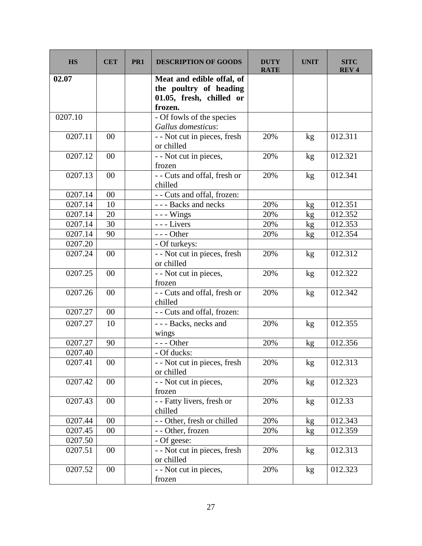| <b>HS</b> | <b>CET</b> | PR <sub>1</sub> | <b>DESCRIPTION OF GOODS</b>                                                                | <b>DUTY</b><br><b>RATE</b> | <b>UNIT</b>     | <b>SITC</b><br><b>REV4</b> |
|-----------|------------|-----------------|--------------------------------------------------------------------------------------------|----------------------------|-----------------|----------------------------|
| 02.07     |            |                 | Meat and edible offal, of<br>the poultry of heading<br>01.05, fresh, chilled or<br>frozen. |                            |                 |                            |
| 0207.10   |            |                 | - Of fowls of the species<br>Gallus domesticus:                                            |                            |                 |                            |
| 0207.11   | 00         |                 | - - Not cut in pieces, fresh<br>or chilled                                                 | 20%                        | kg              | 012.311                    |
| 0207.12   | 00         |                 | - - Not cut in pieces,<br>frozen                                                           | 20%                        | kg              | 012.321                    |
| 0207.13   | 00         |                 | - - Cuts and offal, fresh or<br>chilled                                                    | 20%                        | kg              | 012.341                    |
| 0207.14   | 00         |                 | - - Cuts and offal, frozen:                                                                |                            |                 |                            |
| 0207.14   | 10         |                 | --- Backs and necks                                                                        | 20%                        | kg              | 012.351                    |
| 0207.14   | 20         |                 | $--$ Wings                                                                                 | 20%                        | kg              | 012.352                    |
| 0207.14   | 30         |                 | --- Livers                                                                                 | 20%                        | kg              | 012.353                    |
| 0207.14   | 90         |                 | $--$ Other                                                                                 | 20%                        | kg              | 012.354                    |
| 0207.20   |            |                 | - Of turkeys:                                                                              |                            |                 |                            |
| 0207.24   | 00         |                 | - - Not cut in pieces, fresh<br>or chilled                                                 | 20%                        | kg              | 012.312                    |
| 0207.25   | 00         |                 | - - Not cut in pieces,<br>frozen                                                           | 20%                        | kg              | 012.322                    |
| 0207.26   | 00         |                 | - - Cuts and offal, fresh or<br>chilled                                                    | 20%                        | kg              | 012.342                    |
| 0207.27   | 00         |                 | - - Cuts and offal, frozen:                                                                |                            |                 |                            |
| 0207.27   | 10         |                 | - - - Backs, necks and<br>wings                                                            | 20%                        | kg              | 012.355                    |
| 0207.27   | 90         |                 | $--$ Other                                                                                 | 20%                        | kg              | 012.356                    |
| 0207.40   |            |                 | - Of ducks:                                                                                |                            |                 |                            |
| 0207.41   | 00         |                 | - - Not cut in pieces, fresh<br>or chilled                                                 | 20%                        | kg              | 012.313                    |
| 0207.42   | $00\,$     |                 | - - Not cut in pieces,<br>frozen                                                           | 20%                        | kg              | 012.323                    |
| 0207.43   | 00         |                 | - - Fatty livers, fresh or<br>chilled                                                      | 20%                        | kg              | 012.33                     |
| 0207.44   | 00         |                 | - - Other, fresh or chilled                                                                | 20%                        | kg <sub>2</sub> | 012.343                    |
| 0207.45   | 00         |                 | - - Other, frozen                                                                          | 20%                        | kg              | 012.359                    |
| 0207.50   |            |                 | - Of geese:                                                                                |                            |                 |                            |
| 0207.51   | 00         |                 | - - Not cut in pieces, fresh<br>or chilled                                                 | 20%                        | kg              | 012.313                    |
| 0207.52   | 00         |                 | - - Not cut in pieces,<br>frozen                                                           | 20%                        | kg              | 012.323                    |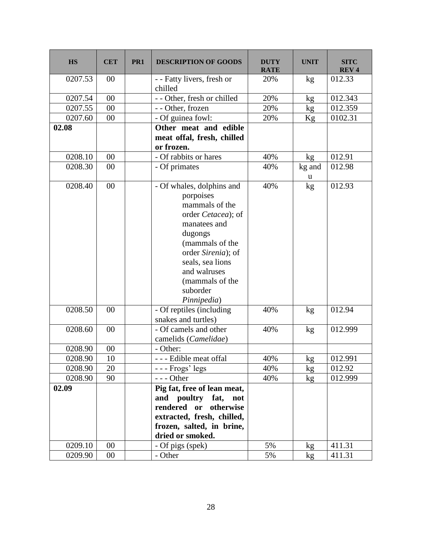| <b>HS</b> | <b>CET</b> | PR <sub>1</sub> | <b>DESCRIPTION OF GOODS</b>                                                                                                                                                                                                          | <b>DUTY</b><br><b>RATE</b> | <b>UNIT</b>     | <b>SITC</b><br><b>REV4</b> |
|-----------|------------|-----------------|--------------------------------------------------------------------------------------------------------------------------------------------------------------------------------------------------------------------------------------|----------------------------|-----------------|----------------------------|
| 0207.53   | 00         |                 | - - Fatty livers, fresh or<br>chilled                                                                                                                                                                                                | 20%                        | kg              | 012.33                     |
| 0207.54   | 00         |                 | - - Other, fresh or chilled                                                                                                                                                                                                          | 20%                        | kg              | 012.343                    |
| 0207.55   | 00         |                 | - - Other, frozen                                                                                                                                                                                                                    | 20%                        | kg              | 012.359                    |
| 0207.60   | 00         |                 | - Of guinea fowl:                                                                                                                                                                                                                    | 20%                        | Kg              | 0102.31                    |
| 02.08     |            |                 | Other meat and edible<br>meat offal, fresh, chilled<br>or frozen.                                                                                                                                                                    |                            |                 |                            |
| 0208.10   | 00         |                 | - Of rabbits or hares                                                                                                                                                                                                                | 40%                        | kg              | 012.91                     |
| 0208.30   | 00         |                 | - Of primates                                                                                                                                                                                                                        | 40%                        | kg and<br>u     | 012.98                     |
| 0208.40   | 00         |                 | - Of whales, dolphins and<br>porpoises<br>mammals of the<br>order Cetacea); of<br>manatees and<br>dugongs<br>(mammals of the<br>order Sirenia); of<br>seals, sea lions<br>and walruses<br>(mammals of the<br>suborder<br>Pinnipedia) | 40%                        | kg              | 012.93                     |
| 0208.50   | 00         |                 | - Of reptiles (including<br>snakes and turtles)                                                                                                                                                                                      | 40%                        | kg              | 012.94                     |
| 0208.60   | 00         |                 | - Of camels and other<br>camelids (Camelidae)                                                                                                                                                                                        | 40%                        | kg              | 012.999                    |
| 0208.90   | 00         |                 | - Other:                                                                                                                                                                                                                             |                            |                 |                            |
| 0208.90   | 10         |                 | - Edible meat offal                                                                                                                                                                                                                  | 40%                        | kg <sub>2</sub> | 012.991                    |
| 0208.90   | 20         |                 | $--$ Frogs' legs                                                                                                                                                                                                                     | 40%                        | kg              | 012.92                     |
| 0208.90   | 90         |                 | $--$ Other                                                                                                                                                                                                                           | 40%                        | kg              | 012.999                    |
| 02.09     |            |                 | Pig fat, free of lean meat,<br>and poultry fat,<br>not<br>rendered or otherwise<br>extracted, fresh, chilled,<br>frozen, salted, in brine,<br>dried or smoked.                                                                       |                            |                 |                            |
| 0209.10   | 00         |                 | - Of pigs (spek)                                                                                                                                                                                                                     | 5%                         | kg              | 411.31                     |
| 0209.90   | $00\,$     |                 | - Other                                                                                                                                                                                                                              | 5%                         | kg <sub>2</sub> | 411.31                     |